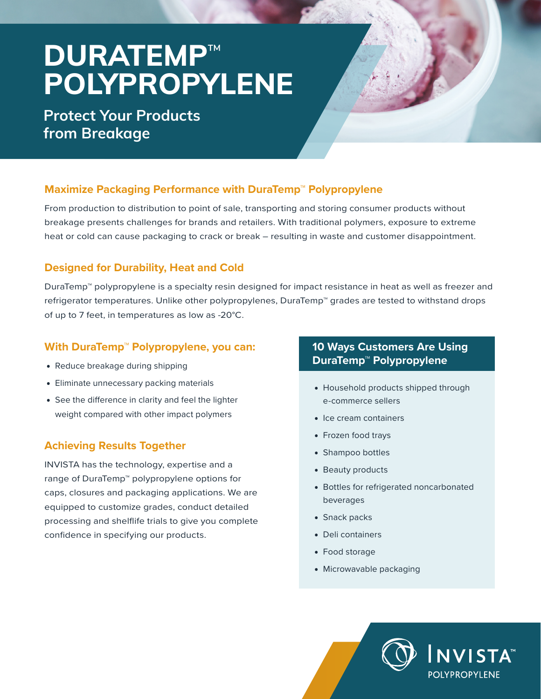# **DURATEMP**™ **POLYPROPYLENE**

## **Protect Your Products from Breakage**

### **Maximize Packaging Performance with DuraTemp™ Polypropylene**

From production to distribution to point of sale, transporting and storing consumer products without breakage presents challenges for brands and retailers. With traditional polymers, exposure to extreme heat or cold can cause packaging to crack or break – resulting in waste and customer disappointment.

#### **Designed for Durability, Heat and Cold**

DuraTemp™ polypropylene is a specialty resin designed for impact resistance in heat as well as freezer and refrigerator temperatures. Unlike other polypropylenes, DuraTemp™ grades are tested to withstand drops of up to 7 feet, in temperatures as low as -20°C.

#### **With DuraTemp™ Polypropylene, you can:**

- Reduce breakage during shipping
- Eliminate unnecessary packing materials
- See the difference in clarity and feel the lighter weight compared with other impact polymers

### **Achieving Results Together**

INVISTA has the technology, expertise and a range of DuraTemp™ polypropylene options for caps, closures and packaging applications. We are equipped to customize grades, conduct detailed processing and shelflife trials to give you complete confidence in specifying our products.

#### **10 Ways Customers Are Using DuraTemp™ Polypropylene**

- Household products shipped through e-commerce sellers
- Ice cream containers
- Frozen food trays
- Shampoo bottles
- Beauty products
- Bottles for refrigerated noncarbonated beverages
- Snack packs
- Deli containers
- Food storage
- Microwavable packaging